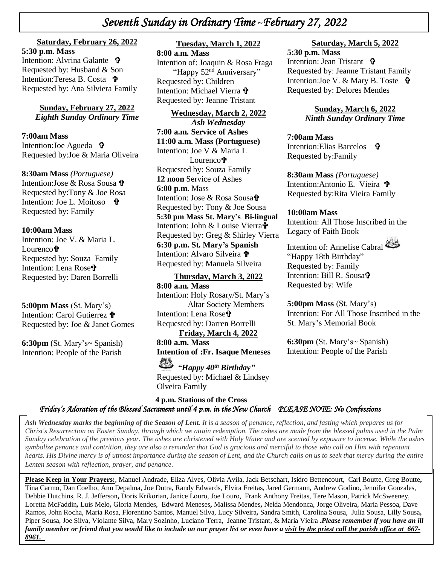# *Seventh Sunday in Ordinary Time* **~***February 27, 2022*

#### **Saturday, February 26, 2022**

**+**  Requested by: Husband & Son  *\* Requested by: Ana Silviera Family **5:30 p.m. Mass**  Intention: Alvrina Galante **+** Intention:Teresa B. Costa <sup>t</sup>

> **Sunday, February 27, 2022** *Eighth Sunday Ordinary Time*

**7:00am Mass**  Intention:Joe Agueda Requested by:Joe & Maria Oliveira

**8:30am Mass** *(Portuguese)* Intention:Jose & Rosa Sousa Requested by:Tony & Joe Rosa Intention: Joe L. Moitoso • Requested by: Family

#### **10:00am Mass**

Intention: Joe V. & Maria L. Lourenco**f** Requested by: Souza Family Intention: Lena Rose<sup>t</sup> Requested by: Daren Borrelli

**5:00pm Mass** (St. Mary's) Intention: Carol Gutierrez

Requested by: Joe & Janet Gomes

**6:30pm** (St. Mary's~ Spanish) Intention: People of the Parish

#### **Tuesday, March 1, 2022**

**8:00 a.m. Mass** Intention of: Joaquin & Rosa Fraga "Happy 52<sup>nd</sup> Anniversary" Requested by: Children Intention: Michael Vierra Requested by: Jeanne Tristant

**Wednesday, March 2, 2022** *Ash Wednesday* **7:00 a.m. Service of Ashes 11:00 a.m. Mass (Portuguese)** Intention: Joe V & Maria L Lourenco**t** Requested by: Souza Family **12 noon** Service of Ashes **6:00 p.m.** Mass Intention: Jose & Rosa Sousa Requested by: Tony & Joe Sousa **5:30 pm Mass St. Mary's Bi-lingual** Intention: John & Louise Vierra Requested by: Greg & Shirley Vierra **6:30 p.m. St. Mary's Spanish** Intention: Alvaro Silveira Requested by: Manuela Silveira

**Thursday, March 3, 2022 8:00 a.m. Mass** Intention: Holy Rosary/St. Mary's Altar Society Members Intention: Lena Rose<sup>t</sup> Requested by: Darren Borrelli **Friday, March 4, 2022**

**8:00 a.m. Mass Intention of :Fr. Isaque Meneses**

*"Happy 40th Birthday"* Requested by: Michael & Lindsey Olveira Family

**Saturday, March 5, 2022**

**5:30 p.m. Mass**  Intention: Jean Tristant  $\mathbf{\hat{\mathbf{F}}}$ Requested by: Jeanne Tristant Family Intention: Joe V. & Mary B. Toste 宁 Requested by: Delores Mendes

> **Sunday, March 6, 2022** *Ninth Sunday Ordinary Time*

### **7:00am Mass**

Intention: Elias Barcelos **t** Requested by:Family

**8:30am Mass** *(Portuguese)* Intention:Antonio E. Vieira Requested by:Rita Vieira Family

#### **10:00am Mass**

Intention: All Those Inscribed in the Legacy of Faith Book

Intention of: Annelise Cabral "Happy 18th Birthday" Requested by: Family Intention: Bill R. Sousa Requested by: Wife

**5:00pm Mass** (St. Mary's) Intention: For All Those Inscribed in the St. Mary's Memorial Book

**6:30pm** (St. Mary's~ Spanish) Intention: People of the Parish

  **4 p.m. Stations of the Cross**  *Friday's Adoration of the Blessed Sacrament until 4 p.m. in the New Church PLEASE NOTE: No Confessions* 

*Ash Wednesday marks the beginning of the Season of Lent. It is a season of penance, reflection, and fasting which prepares us for Christ's Resurrection on Easter Sunday, through which we attain redemption. The ashes are made from the blessed palms used in the Palm Sunday celebration of the previous year. The ashes are christened with Holy Water and are scented by exposure to incense. While the ashes symbolize penance and contrition, they are also a reminder that God is gracious and merciful to those who call on Him with repentant hearts. His Divine mercy is of utmost importance during the season of Lent, and the Church calls on us to seek that mercy during the entire Lenten season with reflection, prayer, and penance.* 

**Please Keep in Your Prayers:**, Manuel Andrade, Eliza Alves, Olivia Avila, Jack Betschart, Isidro Bettencourt, Carl Boutte, Greg Boutte**,** Tina Carmo, Dan Coelho, Ann Depalma, Joe Dutra, Randy Edwards, Elvira Freitas, Jared Germann, Andrew Godino, Jennifer Gonzales, Debbie Hutchins, R. J. Jefferson**,** Doris Krikorian, Janice Louro, Joe Louro, Frank Anthony Freitas, Tere Mason, Patrick McSweeney, Loretta McFaddin**,** Luis Melo**,** Gloria Mendes, Edward Meneses**,** Malissa Mendes**,** Nelda Mendonca, Jorge Oliveira, Maria Pessoa, Dave Ramos, John Rocha, Maria Rosa, Florentino Santos, Manuel Silva, Lucy Silveira**,** Sandra Smith, Carolina Sousa, Julia Sousa, Lilly Sousa**,**  Piper Sousa, Joe Silva, Violante Silva, Mary Sozinho, Luciano Terra, Jeanne Tristant, & Maria Vieira .*Please remember if you have an ill* family member or friend that you would like to include on our prayer list or even have a visit by the priest call the parish office at 667-*8961.*